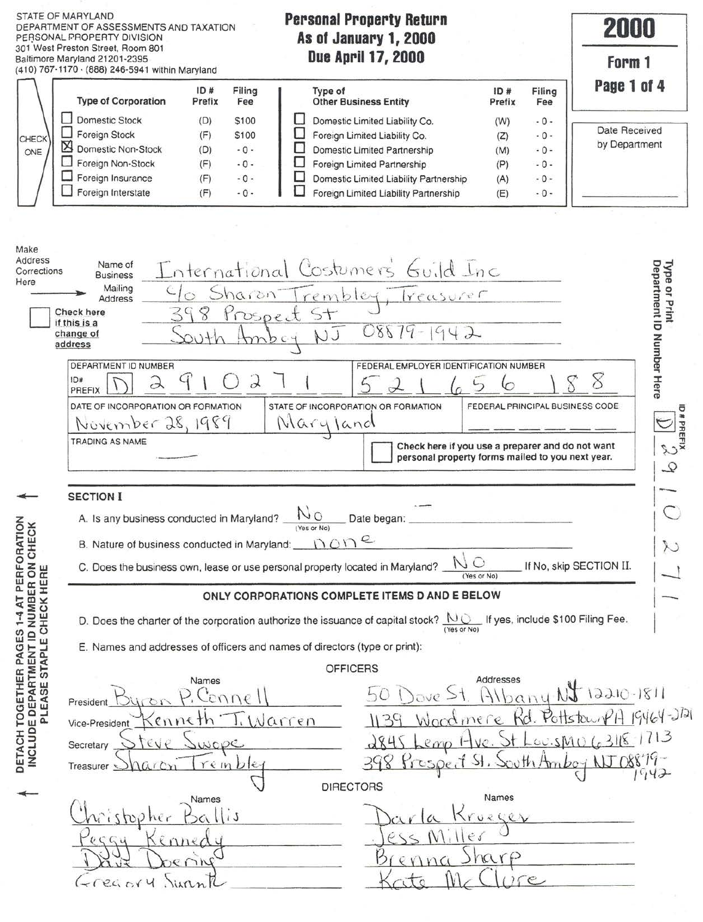|                                                                                                          | STATE OF MARYLAND<br>DEPARTMENT OF ASSESSMENTS AND TAXATION<br>PERSONAL PROPERTY DIVISION<br>301 West Preston Street, Room 801<br>Baltimore Maryland 21201-2395<br>(410) 767-1170 (888) 246-5941 within Maryland                                                                                                                                                           | <b>Personal Property Return</b><br><b>As of January 1, 2000</b><br><b>Due April 17, 2000</b>                                                                                                                                                                 |                                                                                                                                         | 2000<br>Form 1                                                                                                                                                   |
|----------------------------------------------------------------------------------------------------------|----------------------------------------------------------------------------------------------------------------------------------------------------------------------------------------------------------------------------------------------------------------------------------------------------------------------------------------------------------------------------|--------------------------------------------------------------------------------------------------------------------------------------------------------------------------------------------------------------------------------------------------------------|-----------------------------------------------------------------------------------------------------------------------------------------|------------------------------------------------------------------------------------------------------------------------------------------------------------------|
| CHECK<br>ONE                                                                                             | ID#<br>Filing<br><b>Type of Corporation</b><br>Prefix<br>Fee<br><b>Domestic Stock</b><br>(D)<br><b>S100</b><br>Foreign Stock<br>(F)<br>\$100<br>Domestic Non-Stock<br>$-0-$<br>(D)<br>Foreign Non-Stock<br>(F)<br>$-0-$<br>Foreign Insurance<br>(F)<br>$-0-$<br>Foreign Interstate<br>$-0-$<br>(F)                                                                         | Type of<br><b>Other Business Entity</b><br>Domestic Limited Liability Co.<br>Foreign Limited Liability Co.<br>Domestic Limited Partnership<br>Foreign Limited Partnership<br>Domestic Limited Liability Partnership<br>Foreign Limited Liability Partnership | ID#<br>Filing<br>Prefix<br>Fee<br>(W)<br>$-0-$<br>$-0-$<br>(Z)<br>(M)<br>$-0-$<br>(P)<br>$-0-$<br>(A)<br>$-0-$<br>(E)<br>$-0-$          | Page 1 of 4<br>Date Received<br>by Department                                                                                                                    |
| Make<br>Address<br>Corrections<br>Here                                                                   | Name of<br><b>Business</b><br>Mailing<br>$\circ$<br><b>Address</b><br>398<br>Check here<br>if this is a<br>change of<br>Ntua<br>address                                                                                                                                                                                                                                    | International Costumers Guild Inc<br>Sharon Trembley, Treasurer<br>Prospect St<br>$08879 - 1942$<br>NJ<br>mbcy                                                                                                                                               |                                                                                                                                         | Type or Print<br>Department ID Number Here                                                                                                                       |
| -4 AT PERFORATION<br>IIMBER ON CHECK                                                                     | DEPARTMENT ID NUMBER<br>$\partial$<br>ID#<br>$\partial$<br>PREFIX<br>DATE OF INCORPORATION OR FORMATION<br>November 28, 1989<br>TRADING AS NAME<br><b>SECTION I</b><br>A. Is any business conducted in Maryland?<br>B. Nature of business conducted in Maryland: $\bigcap_{i=1}^{\infty}$<br>C. Does the business own, lease or use personal property located in Maryland? | FEDERAL EMPLOYER IDENTIFICATION NUMBER<br>STATE OF INCORPORATION OR FORMATION<br>Naryland<br>N <sub>O</sub><br>Date began:<br>(Yes or No)                                                                                                                    | FEDERAL PRINCIPAL BUSINESS CODE<br>Check here if you use a preparer and do not want<br>personal property forms mailed to you next year. | $\begin{array}{c} \sum\limits_{\text{NP}} \ \sum\limits_{\text{NP}} \ \sum\limits_{\text{NP}} \end{array}$<br>$\mathcal{Q}$<br>ᅙ<br>N<br>If No, skip SECTION II. |
| CHECK HERE<br>NUMBER<br>DETACH TOGETHER PAGES<br>$\mathbf{r}$<br>PLEASE STAPLE<br>ENT<br>INCLUDE DEPARTM | D. Does the charter of the corporation authorize the issuance of capital stock?<br>E. Names and addresses of officers and names of directors (type or print):<br>Names<br>ionne<br>President<br>senneth<br>Vice-President<br>WODE<br>ŧν<br>Secretary<br>$remble_1$<br>Treasurer s<br>Names<br>$\hat{\epsilon}$ nn<br>ex                                                    | (Yes or No)<br>ONLY CORPORATIONS COMPLETE ITEMS D AND E BELOW<br>(Yes or No)<br><b>OFFICERS</b><br>$1)$ ove $>$<br><u>I. Warren</u><br>Woodmere<br><b>DIRECTORS</b>                                                                                          | _If yes, include \$100 Filing Fee.<br>Addresses<br>Hibany<br>Names<br>202<br>harp                                                       | $13210 - 1811$<br>Rd. PottstownPH 19464-2121<br>11ve. St LouisMu 63118-1713<br>Prospect St. South Amboy NJ 08879-                                                |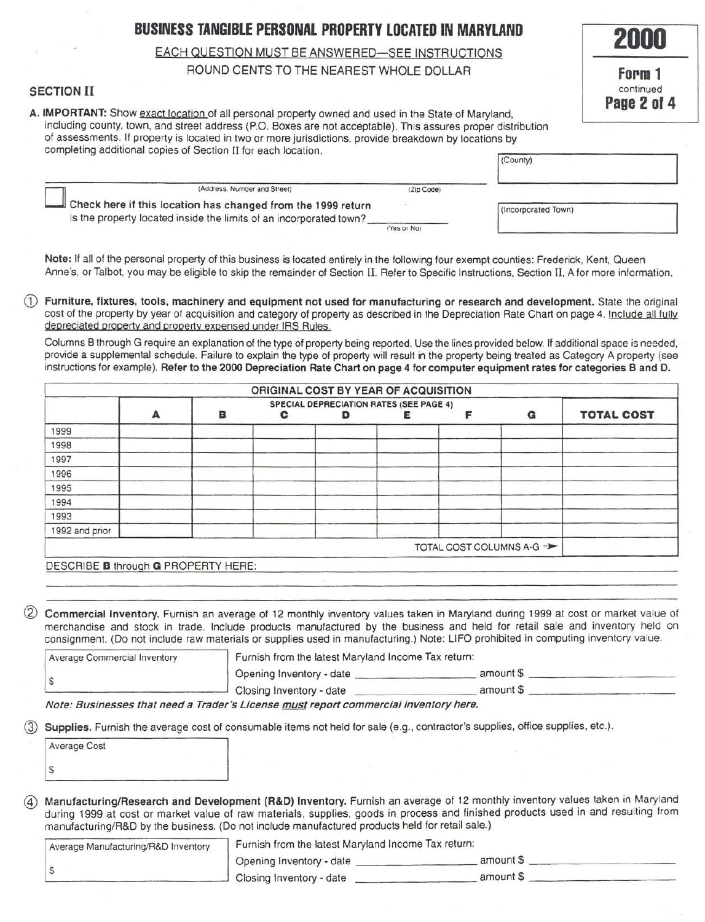# **BUSINESS TANGIBLE PERSONAL PROPERTY LOCATED IN MARYLAND**

**2000** 

**Form 1**  continued **Page 2 of 4** 

# EACH QUESTION MUST BE ANSWERED-SEE INSTRUCTIONS

# ROUND CENTS TO THE NEAREST WHOLE DOLLAR

# SECTION II

A. IMPORTANT: Show exact location of all personal property owned and used in the State of Maryland, including county, town, and street address (P.O. Boxes are not acceptable). This assures proper distribution of assessments. If property is located in two or more jurisdictions, provide breakdown by locations by completing additional copies of Section II for each location.

| (Address, Number and Street)                                                                                                       | (Zip Code)  |                     |  |
|------------------------------------------------------------------------------------------------------------------------------------|-------------|---------------------|--|
| Check here if this location has changed from the 1999 return<br>Is the property located inside the limits of an incorporated town? |             | (Incorporated Town) |  |
|                                                                                                                                    | (Yes or No) |                     |  |

Note: If all of the personal property of this business is located entirely in the following four exempt counties: Frederick, Kent, Queen Anne's, or Talbot, you may be eligible to skip the remainder of Section II. Refer to Specific Instructions, Section II. A for more information.

CD Furniture, fixtures, tools, machinery and equipment not used for manufacturing or research and development. State the original cost of the property by year of acquisition and category of property as described in the Depreciation Rate Chart on page 4. Include all fully depreciated property and property expensed under IRS Rules.

Columns B through G require an explanation of the type of property being reported. Use the lines provided below. If additional space is needed, provide a supplemental schedule. Failure to explain the type of property will result in the property being treated as Category A property (see instructions for example). Refer to the 2000 Depreciation Rate Chart on page 4 for computer equipment rates for categories Band D.

|                |   |   | ORIGINAL COST BY YEAR OF ACQUISITION |                                                |  |                          |                   |
|----------------|---|---|--------------------------------------|------------------------------------------------|--|--------------------------|-------------------|
|                |   |   |                                      | <b>SPECIAL DEPRECIATION RATES (SEE PAGE 4)</b> |  |                          |                   |
|                | A | в | с                                    |                                                |  | G                        | <b>TOTAL COST</b> |
| 1999           |   |   |                                      |                                                |  |                          |                   |
| 1998           |   |   |                                      |                                                |  |                          |                   |
| 1997           |   |   |                                      |                                                |  |                          |                   |
| 1996           |   |   |                                      |                                                |  |                          |                   |
| 1995           |   |   |                                      |                                                |  |                          |                   |
| 1994           |   |   |                                      |                                                |  |                          |                   |
| 1993           |   |   |                                      |                                                |  |                          |                   |
| 1992 and prior |   |   |                                      |                                                |  |                          |                   |
|                |   |   |                                      |                                                |  | TOTAL COST COLUMNS A-G - |                   |

DESCRIBE **B** through G PROPERTY HERE:

Commercial Inventory. Furnish an average of 12 monthly inventory values taken in Maryland during 1999 at cost or market value of merchandise and stock in trade. Include products manufactured by the business and held for retail sale and inventory held on consignment. (Do not include raw materials or supplies used in manufacturing.) Note: UFO prohibited in computing inventory value.

| <b>Average Commercial Inventory</b>                                                                                                                                                    | Furnish from the latest Maryland Income Tax return: |           |  |
|----------------------------------------------------------------------------------------------------------------------------------------------------------------------------------------|-----------------------------------------------------|-----------|--|
|                                                                                                                                                                                        | Opening Inventory - date                            | amount \$ |  |
|                                                                                                                                                                                        | Closing Inventory - date                            | amount \$ |  |
| the first that the product and contact the company of<br>The Contract Constitution of the Constitution of the Constitution of the Constitution of the Constitution of the Constitution |                                                     |           |  |

Note: Businesses that need a Trader's License must report commercial inventory here.

Supplies. Furnish the average cost of consumable items not held for sale (e.g., contractor's supplies, office supplies, etc.).

| <b>Average Cost</b> |  |
|---------------------|--|
|                     |  |

@ Manufacturing/Research and Development (R&D) Inventory. Furnish an average of 12 monthly inventory values taken in Maryland during 1999 at cost or market value of raw materials, supplies, goods in process and finished products used in and resulting from manufacturing/R&D by the business. (Do not include manufactured products held for retail sale.)

| Average Manufacturing/R&D Inventory | Furnish from the latest Maryland Income Tax return: |           |  |
|-------------------------------------|-----------------------------------------------------|-----------|--|
|                                     | Opening Inventory - date                            | amount \$ |  |
|                                     | Closing Inventory - date                            | amount \$ |  |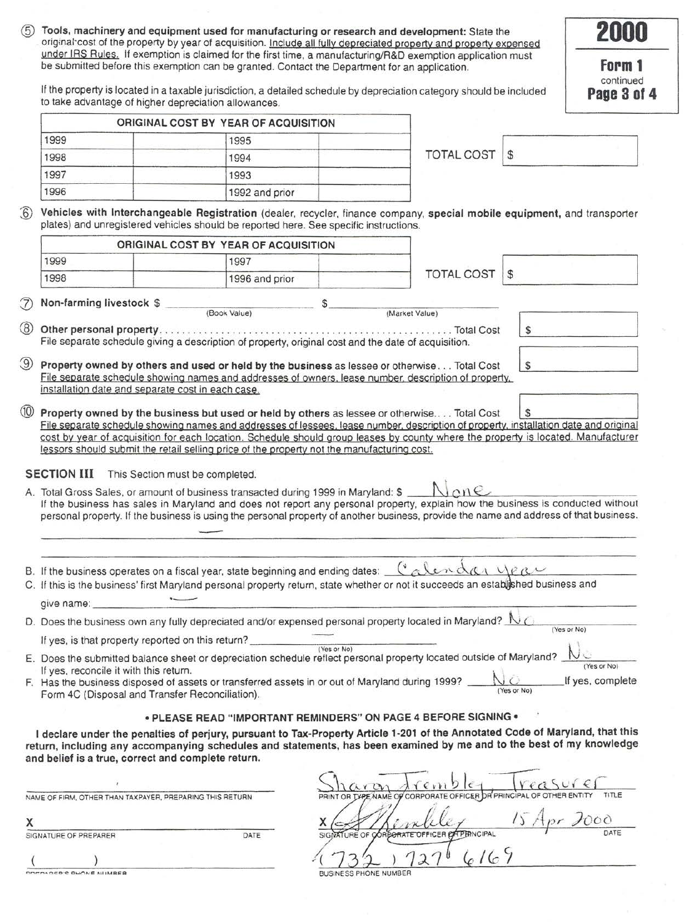|                                                                                           | Tools, machinery and equipment used for manufacturing or research and development: State the<br>original cost of the property by year of acquisition. Include all fully depreciated property and property expensed                                                                                                                                                                                                                                                     |             |                                                    |               | 2000                     |
|-------------------------------------------------------------------------------------------|------------------------------------------------------------------------------------------------------------------------------------------------------------------------------------------------------------------------------------------------------------------------------------------------------------------------------------------------------------------------------------------------------------------------------------------------------------------------|-------------|----------------------------------------------------|---------------|--------------------------|
|                                                                                           | under IRS Rules. If exemption is claimed for the first time, a manufacturing/R&D exemption application must<br>be submitted before this exemption can be granted. Contact the Department for an application.                                                                                                                                                                                                                                                           |             |                                                    |               | Form 1                   |
|                                                                                           | If the property is located in a taxable jurisdiction, a detailed schedule by depreciation category should be included<br>to take advantage of higher depreciation allowances.                                                                                                                                                                                                                                                                                          |             |                                                    |               | continued<br>Page 3 of 4 |
|                                                                                           | ORIGINAL COST BY YEAR OF ACQUISITION                                                                                                                                                                                                                                                                                                                                                                                                                                   |             |                                                    |               |                          |
| 1999                                                                                      | 1995                                                                                                                                                                                                                                                                                                                                                                                                                                                                   |             |                                                    |               |                          |
| 1998                                                                                      | 1994                                                                                                                                                                                                                                                                                                                                                                                                                                                                   |             | <b>TOTAL COST</b>                                  | $\mathbb{S}$  |                          |
| 1997                                                                                      | 1993                                                                                                                                                                                                                                                                                                                                                                                                                                                                   |             |                                                    |               |                          |
| 1996                                                                                      | 1992 and prior                                                                                                                                                                                                                                                                                                                                                                                                                                                         |             |                                                    |               |                          |
|                                                                                           | Vehicles with Interchangeable Registration (dealer, recycler, finance company, special mobile equipment, and transporter<br>plates) and unregistered vehicles should be reported here. See specific instructions.                                                                                                                                                                                                                                                      |             |                                                    |               |                          |
|                                                                                           | ORIGINAL COST BY YEAR OF ACQUISITION                                                                                                                                                                                                                                                                                                                                                                                                                                   |             |                                                    |               |                          |
| 1999                                                                                      | 1997                                                                                                                                                                                                                                                                                                                                                                                                                                                                   |             |                                                    |               |                          |
| 1998                                                                                      | 1996 and prior                                                                                                                                                                                                                                                                                                                                                                                                                                                         |             | <b>TOTAL COST</b>                                  | S             |                          |
|                                                                                           |                                                                                                                                                                                                                                                                                                                                                                                                                                                                        |             |                                                    |               |                          |
| Non-farming livestock \$                                                                  | (Book Value)                                                                                                                                                                                                                                                                                                                                                                                                                                                           | \$          | (Market Value)                                     |               |                          |
|                                                                                           |                                                                                                                                                                                                                                                                                                                                                                                                                                                                        |             | . Total Cost                                       | \$            |                          |
|                                                                                           | File separate schedule giving a description of property, original cost and the date of acquisition.                                                                                                                                                                                                                                                                                                                                                                    |             |                                                    |               |                          |
|                                                                                           |                                                                                                                                                                                                                                                                                                                                                                                                                                                                        |             |                                                    |               |                          |
|                                                                                           | Property owned by others and used or held by the business as lessee or otherwise Total Cost<br>File separate schedule showing names and addresses of owners, lease number, description of property,                                                                                                                                                                                                                                                                    |             |                                                    | $\mathsf{\$}$ |                          |
|                                                                                           |                                                                                                                                                                                                                                                                                                                                                                                                                                                                        |             |                                                    |               |                          |
| installation date and separate cost in each case.                                         | Property owned by the business but used or held by others as lessee or otherwise Total Cost<br>File separate schedule showing names and addresses of lessees, lease number, description of property, installation date and original<br>cost by year of acquisition for each location. Schedule should group leases by county where the property is located. Manufacturer<br>lessors should submit the retail selling price of the property not the manufacturing cost. |             |                                                    | S             |                          |
| <b>SECTION III</b>                                                                        | This Section must be completed.<br>A. Total Gross Sales, or amount of business transacted during 1999 in Maryland: \$<br>If the business has sales in Maryland and does not report any personal property, explain how the business is conducted without<br>personal property. If the business is using the personal property of another business, provide the name and address of that business.                                                                       |             |                                                    |               |                          |
|                                                                                           |                                                                                                                                                                                                                                                                                                                                                                                                                                                                        |             |                                                    |               |                          |
|                                                                                           |                                                                                                                                                                                                                                                                                                                                                                                                                                                                        |             |                                                    |               |                          |
|                                                                                           | B. If the business operates on a fiscal year, state beginning and ending dates: _                                                                                                                                                                                                                                                                                                                                                                                      |             | Calendar year                                      |               |                          |
|                                                                                           | C. If this is the business' first Maryland personal property return, state whether or not it succeeds an established business and                                                                                                                                                                                                                                                                                                                                      |             |                                                    |               |                          |
| give name:                                                                                |                                                                                                                                                                                                                                                                                                                                                                                                                                                                        |             |                                                    |               |                          |
|                                                                                           | D. Does the business own any fully depreciated and/or expensed personal property located in Maryland?                                                                                                                                                                                                                                                                                                                                                                  |             |                                                    |               | (Yes or No)              |
| If yes, is that property reported on this return?                                         |                                                                                                                                                                                                                                                                                                                                                                                                                                                                        | (Yes or No) |                                                    |               |                          |
|                                                                                           | E. Does the submitted balance sheet or depreciation schedule reflect personal property located outside of Maryland?                                                                                                                                                                                                                                                                                                                                                    |             |                                                    |               | (Yes or No)              |
| If yes, reconcile it with this return.<br>Form 4C (Disposal and Transfer Reconciliation). | F. Has the business disposed of assets or transferred assets in or out of Maryland during 1999?                                                                                                                                                                                                                                                                                                                                                                        |             |                                                    | (Yes or No)   | If yes, complete         |
|                                                                                           |                                                                                                                                                                                                                                                                                                                                                                                                                                                                        |             |                                                    |               |                          |
| and belief is a true, correct and complete return.                                        | • PLEASE READ "IMPORTANT REMINDERS" ON PAGE 4 BEFORE SIGNING .<br>I declare under the penalties of perjury, pursuant to Tax-Property Article 1-201 of the Annotated Code of Maryland, that this<br>return, including any accompanying schedules and statements, has been examined by me and to the best of my knowledge                                                                                                                                                |             |                                                    |               |                          |
|                                                                                           |                                                                                                                                                                                                                                                                                                                                                                                                                                                                        |             |                                                    |               |                          |
| NAME OF FIRM, OTHER THAN TAXPAYER, PREPARING THIS RETURN                                  |                                                                                                                                                                                                                                                                                                                                                                                                                                                                        |             | <b>TYPE NAME OF CORPORATE OFFICER DR PRINCIPAL</b> |               |                          |
|                                                                                           |                                                                                                                                                                                                                                                                                                                                                                                                                                                                        |             |                                                    |               |                          |

**NNR-N.O.CO.C. OULAINE NI IMPER**